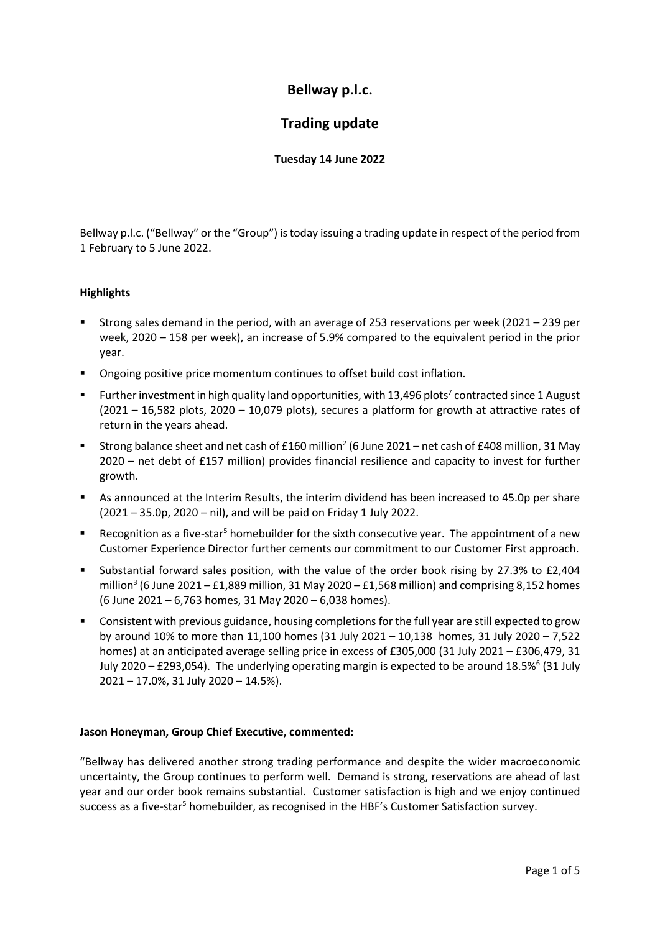# **Bellway p.l.c.**

## **Trading update**

## **Tuesday 14 June 2022**

Bellway p.l.c. ("Bellway" or the "Group") is today issuing a trading update in respect of the period from 1 February to 5 June 2022.

## **Highlights**

- Strong sales demand in the period, with an average of 253 reservations per week (2021 239 per week, 2020 – 158 per week), an increase of 5.9% compared to the equivalent period in the prior year.
- **•** Ongoing positive price momentum continues to offset build cost inflation.
- Further investment in high quality land opportunities, with  $13,496$  plots<sup>7</sup> contracted since 1 August (2021 – 16,582 plots, 2020 – 10,079 plots), secures a platform for growth at attractive rates of return in the years ahead.
- Strong balance sheet and net cash of £160 million<sup>2</sup> (6 June 2021 net cash of £408 million, 31 May 2020 – net debt of £157 million) provides financial resilience and capacity to invest for further growth.
- As announced at the Interim Results, the interim dividend has been increased to 45.0p per share (2021 – 35.0p, 2020 – nil), and will be paid on Friday 1 July 2022.
- **EXECO** Recognition as a five-star<sup>5</sup> homebuilder for the sixth consecutive year. The appointment of a new Customer Experience Director further cements our commitment to our Customer First approach.
- Substantial forward sales position, with the value of the order book rising by 27.3% to £2,404 million<sup>3</sup> (6 June 2021 – £1,889 million, 31 May 2020 – £1,568 million) and comprising 8,152 homes (6 June 2021 – 6,763 homes, 31 May 2020 – 6,038 homes).
- **Consistent with previous guidance, housing completions for the full year are still expected to grow** by around 10% to more than 11,100 homes (31 July 2021 – 10,138 homes, 31 July 2020 – 7,522 homes) at an anticipated average selling price in excess of £305,000 (31 July 2021 – £306,479, 31 July 2020 – £293,054). The underlying operating margin is expected to be around 18.5% $6$  (31 July 2021 – 17.0%, 31 July 2020 – 14.5%).

### **Jason Honeyman, Group Chief Executive, commented:**

"Bellway has delivered another strong trading performance and despite the wider macroeconomic uncertainty, the Group continues to perform well. Demand is strong, reservations are ahead of last year and our order book remains substantial. Customer satisfaction is high and we enjoy continued success as a five-star<sup>5</sup> homebuilder, as recognised in the HBF's Customer Satisfaction survey.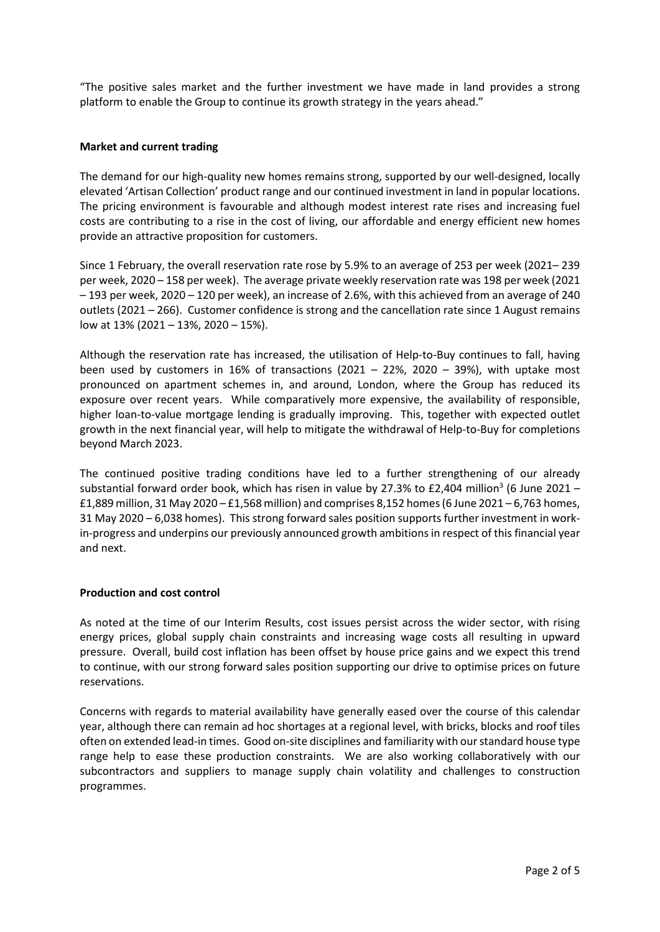"The positive sales market and the further investment we have made in land provides a strong platform to enable the Group to continue its growth strategy in the years ahead."

#### **Market and current trading**

The demand for our high-quality new homes remains strong, supported by our well-designed, locally elevated 'Artisan Collection' product range and our continued investment in land in popular locations. The pricing environment is favourable and although modest interest rate rises and increasing fuel costs are contributing to a rise in the cost of living, our affordable and energy efficient new homes provide an attractive proposition for customers.

Since 1 February, the overall reservation rate rose by 5.9% to an average of 253 per week (2021– 239 per week, 2020 – 158 per week). The average private weekly reservation rate was 198 per week (2021 – 193 per week, 2020 – 120 per week), an increase of 2.6%, with this achieved from an average of 240 outlets (2021 – 266). Customer confidence is strong and the cancellation rate since 1 August remains low at 13% (2021 – 13%, 2020 – 15%).

Although the reservation rate has increased, the utilisation of Help-to-Buy continues to fall, having been used by customers in 16% of transactions (2021 – 22%, 2020 – 39%), with uptake most pronounced on apartment schemes in, and around, London, where the Group has reduced its exposure over recent years. While comparatively more expensive, the availability of responsible, higher loan-to-value mortgage lending is gradually improving. This, together with expected outlet growth in the next financial year, will help to mitigate the withdrawal of Help-to-Buy for completions beyond March 2023.

The continued positive trading conditions have led to a further strengthening of our already substantial forward order book, which has risen in value by 27.3% to £2,404 million<sup>3</sup> (6 June 2021 –  $£1,889$  million, 31 May 2020 – $£1,568$  million) and comprises 8,152 homes (6 June 2021 – 6,763 homes, 31 May 2020 – 6,038 homes). This strong forward sales position supports further investment in workin-progress and underpins our previously announced growth ambitionsin respect of this financial year and next.

### **Production and cost control**

As noted at the time of our Interim Results, cost issues persist across the wider sector, with rising energy prices, global supply chain constraints and increasing wage costs all resulting in upward pressure. Overall, build cost inflation has been offset by house price gains and we expect this trend to continue, with our strong forward sales position supporting our drive to optimise prices on future reservations.

Concerns with regards to material availability have generally eased over the course of this calendar year, although there can remain ad hoc shortages at a regional level, with bricks, blocks and roof tiles often on extended lead-in times. Good on-site disciplines and familiarity with our standard house type range help to ease these production constraints. We are also working collaboratively with our subcontractors and suppliers to manage supply chain volatility and challenges to construction programmes.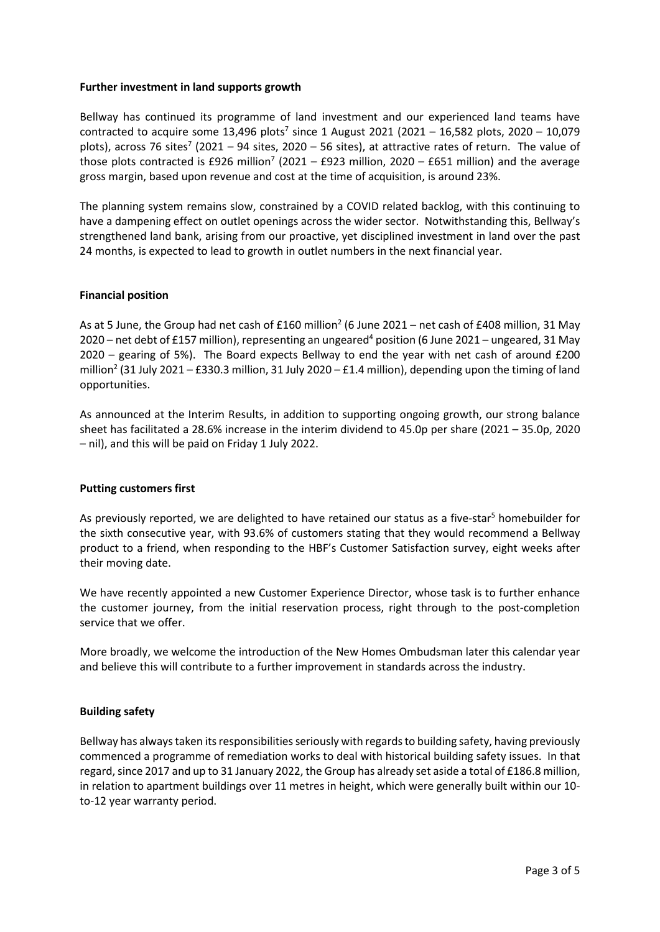#### **Further investment in land supports growth**

Bellway has continued its programme of land investment and our experienced land teams have contracted to acquire some 13,496 plots<sup>7</sup> since 1 August 2021 (2021 – 16,582 plots, 2020 – 10,079 plots), across 76 sites<sup>7</sup> (2021 – 94 sites, 2020 – 56 sites), at attractive rates of return. The value of those plots contracted is £926 million<sup>7</sup> (2021 – £923 million, 2020 – £651 million) and the average gross margin, based upon revenue and cost at the time of acquisition, is around 23%.

The planning system remains slow, constrained by a COVID related backlog, with this continuing to have a dampening effect on outlet openings across the wider sector. Notwithstanding this, Bellway's strengthened land bank, arising from our proactive, yet disciplined investment in land over the past 24 months, is expected to lead to growth in outlet numbers in the next financial year.

### **Financial position**

As at 5 June, the Group had net cash of £160 million<sup>2</sup> (6 June 2021 – net cash of £408 million, 31 May 2020 – net debt of £157 million), representing an ungeared<sup>4</sup> position (6 June 2021 – ungeared, 31 May 2020 – gearing of 5%). The Board expects Bellway to end the year with net cash of around £200 million<sup>2</sup> (31 July 2021 – £330.3 million, 31 July 2020 – £1.4 million), depending upon the timing of land opportunities.

As announced at the Interim Results, in addition to supporting ongoing growth, our strong balance sheet has facilitated a 28.6% increase in the interim dividend to 45.0p per share (2021 – 35.0p, 2020 – nil), and this will be paid on Friday 1 July 2022.

### **Putting customers first**

As previously reported, we are delighted to have retained our status as a five-star<sup>5</sup> homebuilder for the sixth consecutive year, with 93.6% of customers stating that they would recommend a Bellway product to a friend, when responding to the HBF's Customer Satisfaction survey, eight weeks after their moving date.

We have recently appointed a new Customer Experience Director, whose task is to further enhance the customer journey, from the initial reservation process, right through to the post-completion service that we offer.

More broadly, we welcome the introduction of the New Homes Ombudsman later this calendar year and believe this will contribute to a further improvement in standards across the industry.

## **Building safety**

Bellway has always taken its responsibilities seriously with regards to building safety, having previously commenced a programme of remediation works to deal with historical building safety issues. In that regard, since 2017 and up to 31 January 2022, the Group has already set aside a total of £186.8 million, in relation to apartment buildings over 11 metres in height, which were generally built within our 10 to-12 year warranty period.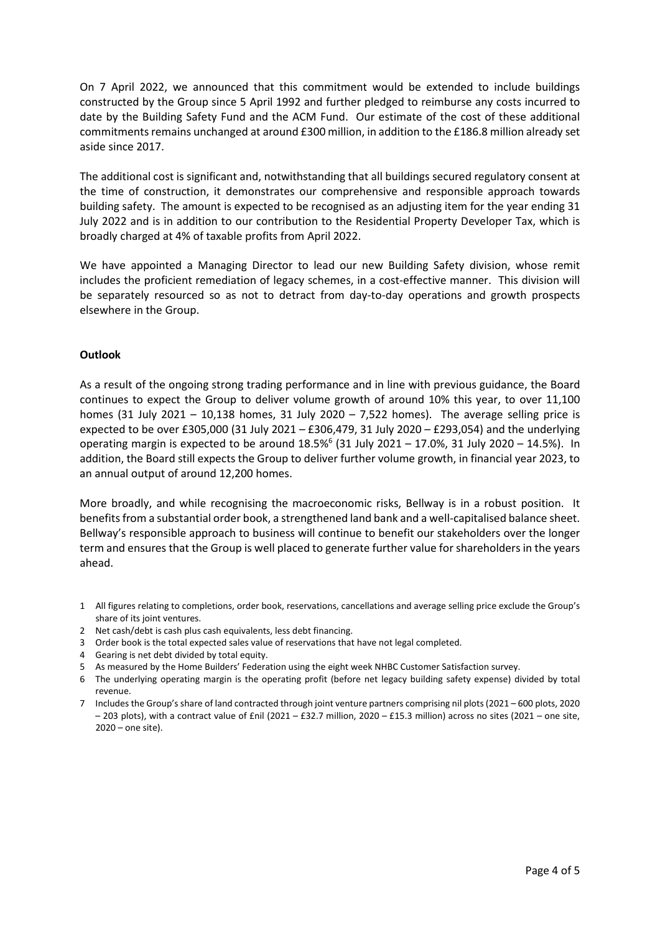On 7 April 2022, we announced that this commitment would be extended to include buildings constructed by the Group since 5 April 1992 and further pledged to reimburse any costs incurred to date by the Building Safety Fund and the ACM Fund. Our estimate of the cost of these additional commitments remains unchanged at around £300 million, in addition to the £186.8 million already set aside since 2017.

The additional cost is significant and, notwithstanding that all buildings secured regulatory consent at the time of construction, it demonstrates our comprehensive and responsible approach towards building safety. The amount is expected to be recognised as an adjusting item for the year ending 31 July 2022 and is in addition to our contribution to the Residential Property Developer Tax, which is broadly charged at 4% of taxable profits from April 2022.

We have appointed a Managing Director to lead our new Building Safety division, whose remit includes the proficient remediation of legacy schemes, in a cost-effective manner. This division will be separately resourced so as not to detract from day-to-day operations and growth prospects elsewhere in the Group.

#### **Outlook**

As a result of the ongoing strong trading performance and in line with previous guidance, the Board continues to expect the Group to deliver volume growth of around 10% this year, to over 11,100 homes (31 July 2021 – 10,138 homes, 31 July 2020 – 7,522 homes). The average selling price is expected to be over £305,000 (31 July 2021 – £306,479, 31 July 2020 – £293,054) and the underlying operating margin is expected to be around  $18.5\%$  (31 July 2021 – 17.0%, 31 July 2020 – 14.5%). In addition, the Board still expects the Group to deliver further volume growth, in financial year 2023, to an annual output of around 12,200 homes.

More broadly, and while recognising the macroeconomic risks, Bellway is in a robust position. It benefits from a substantial order book, a strengthened land bank and a well-capitalised balance sheet. Bellway's responsible approach to business will continue to benefit our stakeholders over the longer term and ensures that the Group is well placed to generate further value for shareholders in the years ahead.

- 1 All figures relating to completions, order book, reservations, cancellations and average selling price exclude the Group's share of its joint ventures.
- 2 Net cash/debt is cash plus cash equivalents, less debt financing.
- 3 Order book is the total expected sales value of reservations that have not legal completed.
- 4 Gearing is net debt divided by total equity.
- 5 As measured by the Home Builders' Federation using the eight week NHBC Customer Satisfaction survey.
- 6 The underlying operating margin is the operating profit (before net legacy building safety expense) divided by total revenue.
- 7 Includes the Group's share of land contracted through joint venture partners comprising nil plots (2021 600 plots, 2020 – 203 plots), with a contract value of £nil (2021 – £32.7 million, 2020 – £15.3 million) across no sites (2021 – one site, 2020 – one site).